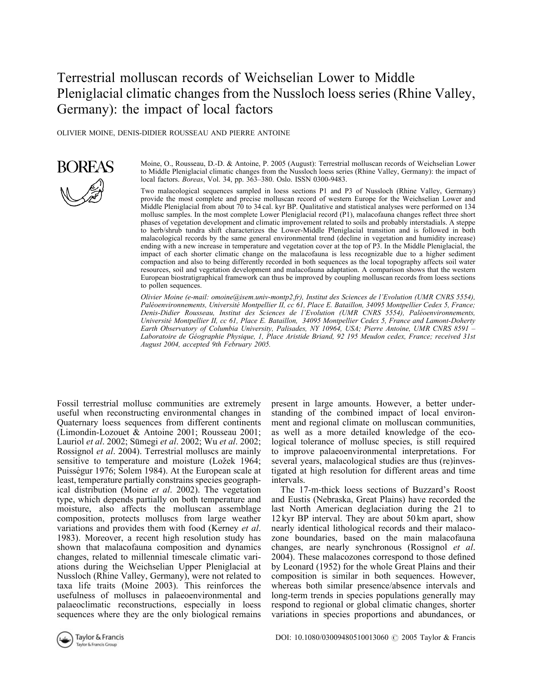# Terrestrial molluscan records of Weichselian Lower to Middle Pleniglacial climatic changes from the Nussloch loess series (Rhine Valley, Germany): the impact of local factors

OLIVIER MOINE, DENIS-DIDIER ROUSSEAU AND PIERRE ANTOINE



Moine, O., Rousseau, D.-D. & Antoine, P. 2005 (August): Terrestrial molluscan records of Weichselian Lower to Middle Pleniglacial climatic changes from the Nussloch loess series (Rhine Valley, Germany): the impact of local factors. Boreas, Vol. 34, pp. 363–380. Oslo. ISSN 0300-9483.

Two malacological sequences sampled in loess sections P1 and P3 of Nussloch (Rhine Valley, Germany) provide the most complete and precise molluscan record of western Europe for the Weichselian Lower and Middle Pleniglacial from about 70 to 34 cal. kyr BP. Qualitative and statistical analyses were performed on 134 mollusc samples. In the most complete Lower Pleniglacial record (P1), malacofauna changes reflect three short phases of vegetation development and climatic improvement related to soils and probably interstadials. A steppe to herb/shrub tundra shift characterizes the Lower-Middle Pleniglacial transition and is followed in both malacological records by the same general environmental trend (decline in vegetation and humidity increase) ending with a new increase in temperature and vegetation cover at the top of P3. In the Middle Pleniglacial, the impact of each shorter climatic change on the malacofauna is less recognizable due to a higher sediment compaction and also to being differently recorded in both sequences as the local topography affects soil water resources, soil and vegetation development and malacofauna adaptation. A comparison shows that the western European biostratigraphical framework can thus be improved by coupling molluscan records from loess sections to pollen sequences.

Olivier Moine (e-mail: omoine@isem.univ-montp2.fr), Institut des Sciences de l'Evolution (UMR CNRS 5554), Paléoenvironnements, Université Montpellier II, cc 61, Place E. Bataillon, 34095 Montpellier Cedex 5, France; Denis-Didier Rousseau, Institut des Sciences de l'Evolution (UMR CNRS 5554), Paléoenvironnements, Université Montpellier II, cc 61, Place E. Bataillon, 34095 Montpellier Cedex 5, France and Lamont-Doherty Earth Observatory of Columbia University, Palisades, NY 10964, USA; Pierre Antoine, UMR CNRS 8591 – Laboratoire de Géographie Physique, 1, Place Aristide Briand, 92 195 Meudon cedex, France; received 31st August 2004, accepted 9th February 2005.

Fossil terrestrial mollusc communities are extremely useful when reconstructing environmental changes in Quaternary loess sequences from different continents (Limondin-Lozouet & Antoine 2001; Rousseau 2001; Lauriol et al. 2002; Sümegi et al. 2002; Wu et al. 2002; Rossignol et al. 2004). Terrestrial molluscs are mainly sensitive to temperature and moisture (Ložek 1964; Puisségur 1976; Solem 1984). At the European scale at least, temperature partially constrains species geographical distribution (Moine et al. 2002). The vegetation type, which depends partially on both temperature and moisture, also affects the molluscan assemblage composition, protects molluscs from large weather variations and provides them with food (Kerney et al. 1983). Moreover, a recent high resolution study has shown that malacofauna composition and dynamics changes, related to millennial timescale climatic variations during the Weichselian Upper Pleniglacial at Nussloch (Rhine Valley, Germany), were not related to taxa life traits (Moine 2003). This reinforces the usefulness of molluscs in palaeoenvironmental and palaeoclimatic reconstructions, especially in loess sequences where they are the only biological remains

present in large amounts. However, a better understanding of the combined impact of local environment and regional climate on molluscan communities, as well as a more detailed knowledge of the ecological tolerance of mollusc species, is still required to improve palaeoenvironmental interpretations. For several years, malacological studies are thus (re)investigated at high resolution for different areas and time intervals.

The 17-m-thick loess sections of Buzzard's Roost and Eustis (Nebraska, Great Plains) have recorded the last North American deglaciation during the 21 to 12 kyr BP interval. They are about 50 km apart, show nearly identical lithological records and their malacozone boundaries, based on the main malacofauna changes, are nearly synchronous (Rossignol et al. 2004). These malacozones correspond to those defined by Leonard (1952) for the whole Great Plains and their composition is similar in both sequences. However, whereas both similar presence/absence intervals and long-term trends in species populations generally may respond to regional or global climatic changes, shorter variations in species proportions and abundances, or

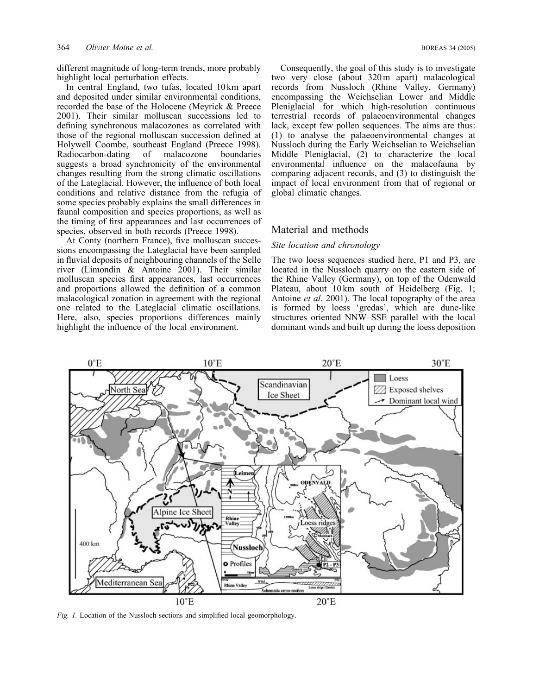different magnitude of long-term trends, more probably highlight local perturbation effects.

In central England, two tufas, located 10 km apart and deposited under similar environmental conditions, recorded the base of the Holocene (Meyrick & Preece 2001). Their similar molluscan successions led to defining synchronous malacozones as correlated with those of the regional molluscan succession defined at Holywell Coombe, southeast England (Preece 1998). Radiocarbon-dating of malacozone boundaries suggests a broad synchronicity of the environmental changes resulting from the strong climatic oscillations of the Lateglacial. However, the influence of both local conditions and relative distance from the refugia of some species probably explains the small differences in faunal composition and species proportions, as well as the timing of first appearances and last occurrences of species, observed in both records (Preece 1998).

At Conty (northern France), five molluscan successions encompassing the Lateglacial have been sampled in fluvial deposits of neighbouring channels of the Selle river (Limondin & Antoine 2001). Their similar molluscan species first appearances, last occurrences and proportions allowed the definition of a common malacological zonation in agreement with the regional one related to the Lateglacial climatic oscillations. Here, also, species proportions differences mainly highlight the influence of the local environment.

Consequently, the goal of this study is to investigate two very close (about 320 m apart) malacological records from Nussloch (Rhine Valley, Germany) encompassing the Weichselian Lower and Middle Pleniglacial for which high-resolution continuous terrestrial records of palaeoenvironmental changes lack, except few pollen sequences. The aims are thus: (1) to analyse the palaeoenvironmental changes at Nussloch during the Early Weichselian to Weichselian Middle Pleniglacial, (2) to characterize the local environmental influence on the malacofauna by comparing adjacent records, and (3) to distinguish the impact of local environment from that of regional or global climatic changes.

# Material and methods

## Site location and chronology

The two loess sequences studied here, P1 and P3, are located in the Nussloch quarry on the eastern side of the Rhine Valley (Germany), on top of the Odenwald Plateau, about 10 km south of Heidelberg (Fig. 1; Antoine *et al.* 2001). The local topography of the area is formed by loess 'gredas', which are dune-like structures oriented NNW–SSE parallel with the local dominant winds and built up during the loess deposition



Fig. 1. Location of the Nussloch sections and simplified local geomorphology.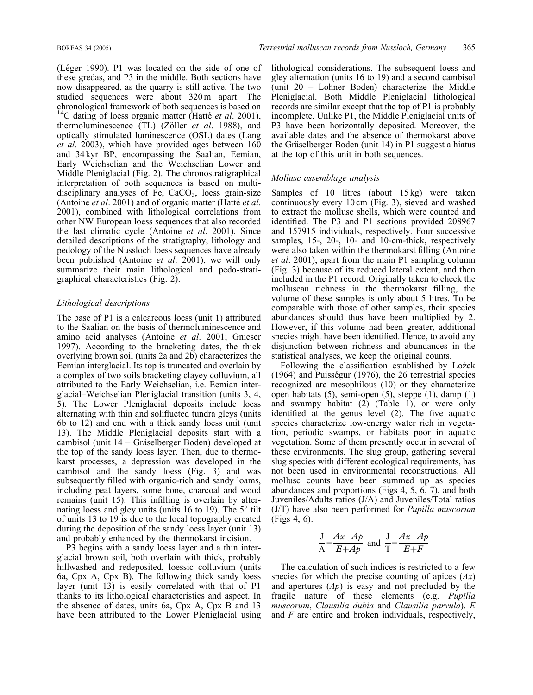(Léger 1990). P1 was located on the side of one of these gredas, and P3 in the middle. Both sections have now disappeared, as the quarry is still active. The two studied sequences were about 320 m apart. The chronological framework of both sequences is based on <sup>14</sup>C dating of loess organic matter (Hatté et al. 2001), thermoluminescence (TL) (Zöller et al. 1988), and optically stimulated luminescence (OSL) dates (Lang et al. 2003), which have provided ages between 160 and 34 kyr BP, encompassing the Saalian, Eemian, Early Weichselian and the Weichselian Lower and Middle Pleniglacial (Fig. 2). The chronostratigraphical interpretation of both sequences is based on multidisciplinary analyses of Fe,  $CaCO<sub>3</sub>$ , loess grain-size (Antoine et al. 2001) and of organic matter (Hatté et al. 2001), combined with lithological correlations from other NW European loess sequences that also recorded the last climatic cycle (Antoine et al. 2001). Since detailed descriptions of the stratigraphy, lithology and pedology of the Nussloch loess sequences have already been published (Antoine et al. 2001), we will only summarize their main lithological and pedo-stratigraphical characteristics (Fig. 2).

#### Lithological descriptions

The base of P1 is a calcareous loess (unit 1) attributed to the Saalian on the basis of thermoluminescence and amino acid analyses (Antoine et al. 2001; Gnieser 1997). According to the bracketing dates, the thick overlying brown soil (units 2a and 2b) characterizes the Eemian interglacial. Its top is truncated and overlain by a complex of two soils bracketing clayey colluvium, all attributed to the Early Weichselian, i.e. Eemian interglacial–Weichselian Pleniglacial transition (units 3, 4, 5). The Lower Pleniglacial deposits include loess alternating with thin and soliflucted tundra gleys (units 6b to 12) and end with a thick sandy loess unit (unit 13). The Middle Pleniglacial deposits start with a cambisol (unit  $14 -$  Gräselberger Boden) developed at the top of the sandy loess layer. Then, due to thermokarst processes, a depression was developed in the cambisol and the sandy loess (Fig. 3) and was subsequently filled with organic-rich and sandy loams, including peat layers, some bone, charcoal and wood remains (unit 15). This infilling is overlain by alternating loess and gley units (units 16 to 19). The  $5^\circ$  tilt of units 13 to 19 is due to the local topography created during the deposition of the sandy loess layer (unit 13) and probably enhanced by the thermokarst incision.

P3 begins with a sandy loess layer and a thin interglacial brown soil, both overlain with thick, probably hillwashed and redeposited, loessic colluvium (units 6a, Cpx A, Cpx B). The following thick sandy loess layer (unit 13) is easily correlated with that of P1 thanks to its lithological characteristics and aspect. In the absence of dates, units 6a, Cpx A, Cpx B and 13 have been attributed to the Lower Pleniglacial using lithological considerations. The subsequent loess and gley alternation (units 16 to 19) and a second cambisol (unit 20 – Lohner Boden) characterize the Middle Pleniglacial. Both Middle Pleniglacial lithological records are similar except that the top of P1 is probably incomplete. Unlike P1, the Middle Pleniglacial units of P3 have been horizontally deposited. Moreover, the available dates and the absence of thermokarst above the Gräselberger Boden (unit 14) in P1 suggest a hiatus at the top of this unit in both sequences.

#### Mollusc assemblage analysis

Samples of 10 litres (about 15 kg) were taken continuously every 10 cm (Fig. 3), sieved and washed to extract the mollusc shells, which were counted and identified. The P3 and P1 sections provided 208967 and 157915 individuals, respectively. Four successive samples, 15-, 20-, 10- and 10-cm-thick, respectively were also taken within the thermokarst filling (Antoine et al. 2001), apart from the main P1 sampling column (Fig. 3) because of its reduced lateral extent, and then included in the P1 record. Originally taken to check the molluscan richness in the thermokarst filling, the volume of these samples is only about 5 litres. To be comparable with those of other samples, their species abundances should thus have been multiplied by 2. However, if this volume had been greater, additional species might have been identified. Hence, to avoid any disjunction between richness and abundances in the statistical analyses, we keep the original counts.

Following the classification established by Ložek  $(1964)$  and Puisségur  $(1976)$ , the 26 terrestrial species recognized are mesophilous (10) or they characterize open habitats (5), semi-open (5), steppe (1), damp (1) and swampy habitat (2) (Table 1), or were only identified at the genus level (2). The five aquatic species characterize low-energy water rich in vegetation, periodic swamps, or habitats poor in aquatic vegetation. Some of them presently occur in several of these environments. The slug group, gathering several slug species with different ecological requirements, has not been used in environmental reconstructions. All mollusc counts have been summed up as species abundances and proportions (Figs 4, 5, 6, 7), and both Juveniles/Adults ratios (J/A) and Juveniles/Total ratios (J/T) have also been performed for Pupilla muscorum (Figs 4, 6):

$$
\frac{J}{A} = \frac{Ax - Ap}{E + Ap}
$$
 and 
$$
\frac{J}{T} = \frac{Ax - Ap}{E + F}
$$

The calculation of such indices is restricted to a few species for which the precise counting of apices  $(Ax)$ and apertures  $(Ap)$  is easy and not precluded by the fragile nature of these elements (e.g. Pupilla muscorum, Clausilia dubia and Clausilia parvula). E and F are entire and broken individuals, respectively,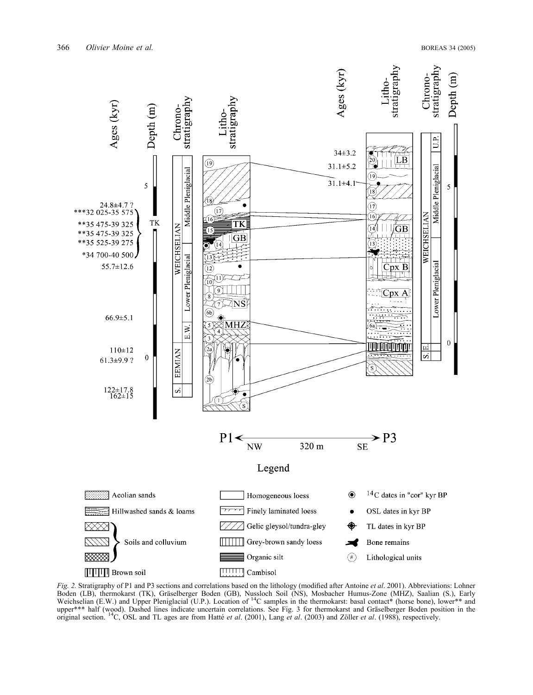

Fig. 2. Stratigraphy of P1 and P3 sections and correlations based on the lithology (modified after Antoine et al. 2001). Abbreviations: Lohner Boden (LB), thermokarst (TK), Gräselberger Boden (GB), Nussloch Soil (NS), Mosbacher Humus-Zone (MHZ), Saalian (S.), Early<br>Weichselian (E.W.) and Upper Pleniglacial (U.P.). Location of <sup>14</sup>C samples in the thermokarst: bas upper\*\*\* half (wood). Dashed lines indicate uncertain correlations. See Fig. 3 for thermokarst and Gräselberger Boden position in the original section. <sup>14</sup>C, OSL and TL ages are from Hatté *et al.* (2001), Lang *et al.* (2003) and Zöller *et al.* (1988), respectively.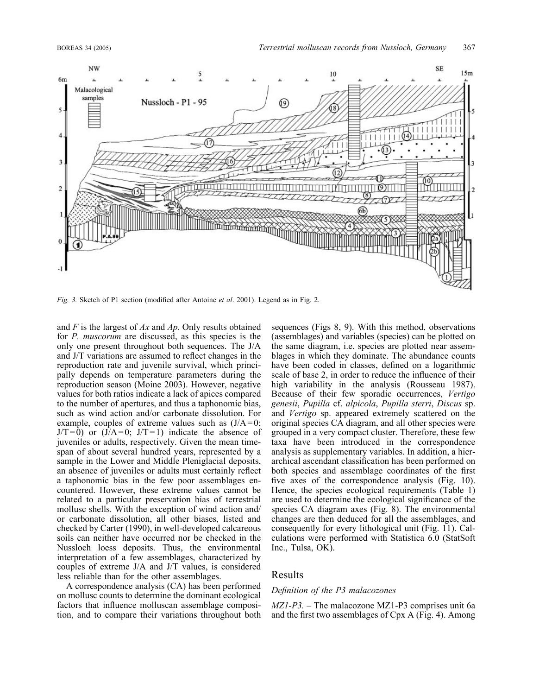

Fig. 3. Sketch of P1 section (modified after Antoine et al. 2001). Legend as in Fig. 2.

and  $F$  is the largest of  $Ax$  and  $Ap$ . Only results obtained for *P. muscorum* are discussed, as this species is the only one present throughout both sequences. The J/A and J/T variations are assumed to reflect changes in the reproduction rate and juvenile survival, which principally depends on temperature parameters during the reproduction season (Moine 2003). However, negative values for both ratios indicate a lack of apices compared to the number of apertures, and thus a taphonomic bias, such as wind action and/or carbonate dissolution. For example, couples of extreme values such as  $(J/A=0;$  $J/T = 0$ ) or  $(J/A = 0; J/T = 1)$  indicate the absence of juveniles or adults, respectively. Given the mean timespan of about several hundred years, represented by a sample in the Lower and Middle Pleniglacial deposits, an absence of juveniles or adults must certainly reflect a taphonomic bias in the few poor assemblages encountered. However, these extreme values cannot be related to a particular preservation bias of terrestrial mollusc shells. With the exception of wind action and/ or carbonate dissolution, all other biases, listed and checked by Carter (1990), in well-developed calcareous soils can neither have occurred nor be checked in the Nussloch loess deposits. Thus, the environmental interpretation of a few assemblages, characterized by couples of extreme J/A and J/T values, is considered less reliable than for the other assemblages.

A correspondence analysis (CA) has been performed on mollusc counts to determine the dominant ecological factors that influence molluscan assemblage composition, and to compare their variations throughout both sequences (Figs 8, 9). With this method, observations (assemblages) and variables (species) can be plotted on the same diagram, i.e. species are plotted near assemblages in which they dominate. The abundance counts have been coded in classes, defined on a logarithmic scale of base 2, in order to reduce the influence of their high variability in the analysis (Rousseau 1987). Because of their few sporadic occurrences, Vertigo genesii, Pupilla cf. alpicola, Pupilla sterri, Discus sp. and Vertigo sp. appeared extremely scattered on the original species CA diagram, and all other species were grouped in a very compact cluster. Therefore, these few taxa have been introduced in the correspondence analysis as supplementary variables. In addition, a hierarchical ascendant classification has been performed on both species and assemblage coordinates of the first five axes of the correspondence analysis (Fig. 10). Hence, the species ecological requirements (Table 1) are used to determine the ecological significance of the species CA diagram axes (Fig. 8). The environmental changes are then deduced for all the assemblages, and consequently for every lithological unit (Fig. 11). Calculations were performed with Statistica 6.0 (StatSoft Inc., Tulsa, OK).

# Results

#### Definition of the P3 malacozones

 $MZ1-P3$ . – The malacozone MZ1-P3 comprises unit 6a and the first two assemblages of Cpx A (Fig. 4). Among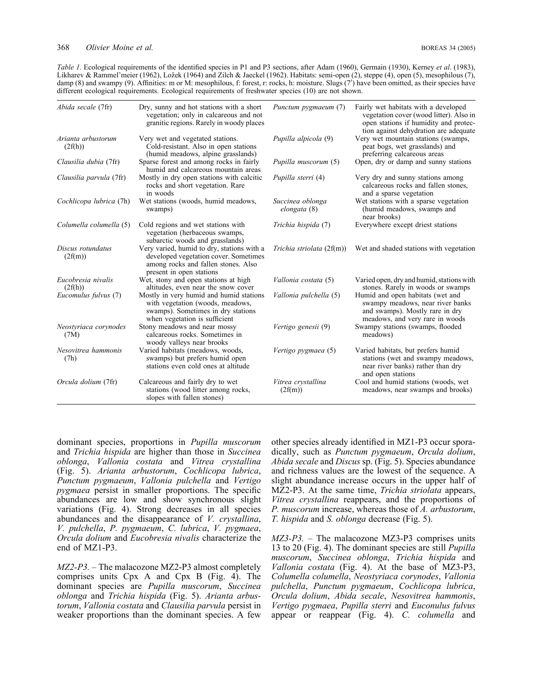Table 1. Ecological requirements of the identified species in P1 and P3 sections, after Adam (1960), Germain (1930), Kerney et al. (1983), Likharev & Rammel'meier (1962), Ložek (1964) and Zilch & Jaeckel (1962). Habitats: semi-open (2), steppe (4), open (5), mesophilous (7), damp (8) and swampy (9). Affinities: m or M: mesophilous, f: forest, r: rocks, h: moisture. Slugs (7') have been omitted, as their species have different ecological requirements. Ecological requirements of freshwater species (10) are not shown.

| Abida secale (7fr)            | Dry, sunny and hot stations with a short<br>vegetation; only in calcareous and not<br>granitic regions. Rarely in woody places                         | Punctum pygmaeum (7)             | Fairly wet habitats with a developed<br>vegetation cover (wood litter). Also in<br>open stations if humidity and protec-                   |
|-------------------------------|--------------------------------------------------------------------------------------------------------------------------------------------------------|----------------------------------|--------------------------------------------------------------------------------------------------------------------------------------------|
|                               |                                                                                                                                                        |                                  | tion against dehydration are adequate                                                                                                      |
| Arianta arbustorum<br>(2f(h)) | Very wet and vegetated stations.<br>Cold-resistant. Also in open stations<br>(humid meadows, alpine grasslands)                                        | Pupilla alpicola (9)             | Very wet mountain stations (swamps,<br>peat bogs, wet grasslands) and<br>preferring calcareous areas                                       |
| Clausilia dubia (7fr)         | Sparse forest and among rocks in fairly<br>humid and calcareous mountain areas                                                                         | Pupilla muscorum (5)             | Open, dry or damp and sunny stations                                                                                                       |
| Clausilia parvula (7fr)       | Mostly in dry open stations with calcitic<br>rocks and short vegetation. Rare<br>in woods                                                              | Pupilla sterri (4)               | Very dry and sunny stations among<br>calcareous rocks and fallen stones,<br>and a sparse vegetation                                        |
| Cochlicopa lubrica (7h)       | Wet stations (woods, humid meadows,<br>swamps)                                                                                                         | Succinea oblonga<br>elongata (8) | Wet stations with a sparse vegetation<br>(humid meadows, swamps and<br>near brooks)                                                        |
| Columella columella (5)       | Cold regions and wet stations with<br>vegetation (herbaceous swamps,<br>subarctic woods and grasslands)                                                | Trichia hispida (7)              | Everywhere except driest stations                                                                                                          |
| Discus rotundatus<br>(2f(m))  | Very varied, humid to dry, stations with a<br>developed vegetation cover. Sometimes<br>among rocks and fallen stones. Also<br>present in open stations | Trichia striolata (2f(m))        | Wet and shaded stations with vegetation                                                                                                    |
| Eucobresia nivalis<br>(2f(h)) | Wet, stony and open stations at high<br>altitudes, even near the snow cover                                                                            | Vallonia costata (5)             | Varied open, dry and humid, stations with<br>stones. Rarely in woods or swamps                                                             |
| Eucomulus fulvus (7)          | Mostly in very humid and humid stations<br>with vegetation (woods, meadows,<br>swamps). Sometimes in dry stations<br>when vegetation is sufficient     | Vallonia pulchella (5)           | Humid and open habitats (wet and<br>swampy meadows, near river banks<br>and swamps). Mostly rare in dry<br>meadows, and very rare in woods |
| Neostyriaca corynodes<br>(7M) | Stony meadows and near mossy<br>calcareous rocks. Sometimes in<br>woody valleys near brooks                                                            | Vertigo genesii (9)              | Swampy stations (swamps, flooded<br>meadows)                                                                                               |
| Nesovitrea hammonis<br>(7h)   | Varied habitats (meadows, woods,<br>swamps) but prefers humid open<br>stations even cold ones at altitude                                              | Vertigo pygmaea (5)              | Varied habitats, but prefers humid<br>stations (wet and swampy meadows,<br>near river banks) rather than dry<br>and open stations          |
| Orcula dolium (7fr)           | Calcareous and fairly dry to wet<br>stations (wood litter among rocks,<br>slopes with fallen stones)                                                   | Vitrea crystallina<br>(2f(m))    | Cool and humid stations (woods, wet<br>meadows, near swamps and brooks)                                                                    |

dominant species, proportions in Pupilla muscorum and Trichia hispida are higher than those in Succinea oblonga, Vallonia costata and Vitrea crystallina (Fig. 5). Arianta arbustorum, Cochlicopa lubrica, Punctum pygmaeum, Vallonia pulchella and Vertigo pygmaea persist in smaller proportions. The specific abundances are low and show synchronous slight variations (Fig. 4). Strong decreases in all species abundances and the disappearance of V. crystallina, V. pulchella, P. pygmaeum, C. lubrica, V. pygmaea, Orcula dolium and Eucobresia nivalis characterize the end of MZ1-P3.

MZ2-P3. – The malacozone MZ2-P3 almost completely comprises units Cpx A and Cpx B (Fig. 4). The dominant species are Pupilla muscorum, Succinea oblonga and Trichia hispida (Fig. 5). Arianta arbustorum, Vallonia costata and Clausilia parvula persist in weaker proportions than the dominant species. A few

other species already identified in MZ1-P3 occur sporadically, such as *Punctum pygmaeum*, Orcula dolium, Abida secale and Discus sp. (Fig. 5). Species abundance and richness values are the lowest of the sequence. A slight abundance increase occurs in the upper half of MZ2-P3. At the same time, *Trichia striolata* appears, Vitrea crystallina reappears, and the proportions of P. muscorum increase, whereas those of A. arbustorum, T. hispida and S. oblonga decrease (Fig. 5).

MZ3-P3. – The malacozone MZ3-P3 comprises units 13 to 20 (Fig. 4). The dominant species are still Pupilla muscorum, Succinea oblonga, Trichia hispida and Vallonia costata (Fig. 4). At the base of MZ3-P3, Columella columella, Neostyriaca corynodes, Vallonia pulchella, Punctum pygmaeum, Cochlicopa lubrica, Orcula dolium, Abida secale, Nesovitrea hammonis, Vertigo pygmaea, Pupilla sterri and Euconulus fulvus appear or reappear (Fig. 4). C. columella and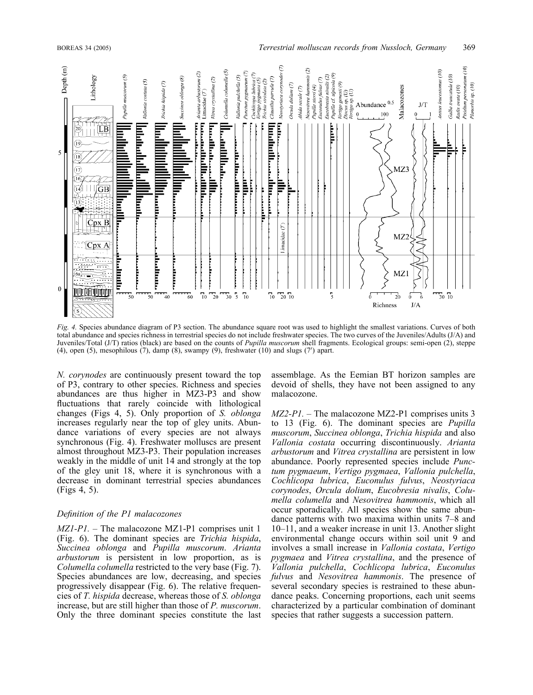

Fig. 4. Species abundance diagram of P3 section. The abundance square root was used to highlight the smallest variations. Curves of both total abundance and species richness in terrestrial species do not include freshwater species. The two curves of the Juveniles/Adults (J/A) and Juveniles/Total (J/T) ratios (black) are based on the counts of Pupilla muscorum shell fragments. Ecological groups: semi-open (2), steppe  $(4)$ , open  $(5)$ , mesophilous  $(7)$ , damp  $(8)$ , swampy  $(9)$ , freshwater  $(10)$  and slugs  $(7')$  apart.

N. corynodes are continuously present toward the top of P3, contrary to other species. Richness and species abundances are thus higher in MZ3-P3 and show fluctuations that rarely coincide with lithological changes (Figs 4, 5). Only proportion of S. oblonga increases regularly near the top of gley units. Abundance variations of every species are not always synchronous (Fig. 4). Freshwater molluscs are present almost throughout MZ3-P3. Their population increases weakly in the middle of unit 14 and strongly at the top of the gley unit 18, where it is synchronous with a decrease in dominant terrestrial species abundances (Figs 4, 5).

# Definition of the P1 malacozones

 $MZ1-P1$ . – The malacozone MZ1-P1 comprises unit 1 (Fig. 6). The dominant species are Trichia hispida, Succinea oblonga and Pupilla muscorum. Arianta arbustorum is persistent in low proportion, as is Columella columella restricted to the very base (Fig. 7). Species abundances are low, decreasing, and species progressively disappear (Fig. 6). The relative frequencies of T. hispida decrease, whereas those of S. oblonga increase, but are still higher than those of P. muscorum. Only the three dominant species constitute the last

assemblage. As the Eemian BT horizon samples are devoid of shells, they have not been assigned to any malacozone.

 $MZ2-P1$ . – The malacozone MZ2-P1 comprises units 3 to 13 (Fig. 6). The dominant species are Pupilla muscorum, Succinea oblonga, Trichia hispida and also Vallonia costata occurring discontinuously. Arianta arbustorum and Vitrea crystallina are persistent in low abundance. Poorly represented species include Punctum pygmaeum, Vertigo pygmaea, Vallonia pulchella, Cochlicopa lubrica, Euconulus fulvus, Neostyriaca corynodes, Orcula dolium, Eucobresia nivalis, Columella columella and Nesovitrea hammonis, which all occur sporadically. All species show the same abundance patterns with two maxima within units 7–8 and 10–11, and a weaker increase in unit 13. Another slight environmental change occurs within soil unit 9 and involves a small increase in Vallonia costata, Vertigo pygmaea and Vitrea crystallina, and the presence of Vallonia pulchella, Cochlicopa lubrica, Euconulus fulvus and Nesovitrea hammonis. The presence of several secondary species is restrained to these abundance peaks. Concerning proportions, each unit seems characterized by a particular combination of dominant species that rather suggests a succession pattern.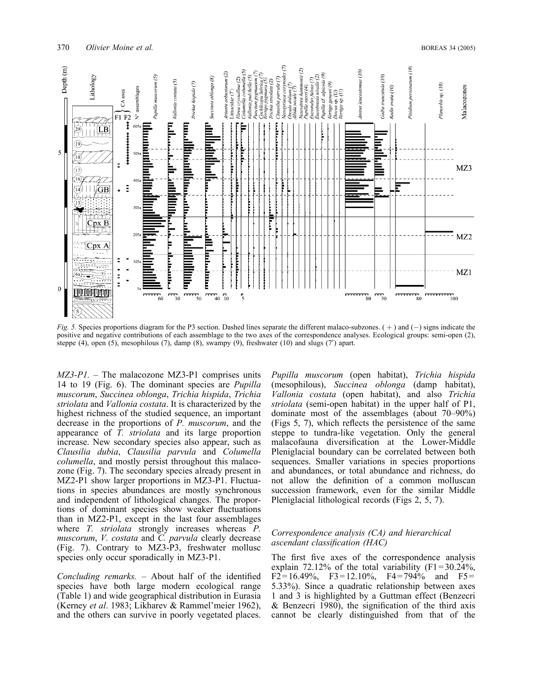

Fig. 5. Species proportions diagram for the P3 section. Dashed lines separate the different malaco-subzones.  $(+)$  and  $(-)$  signs indicate the positive and negative contributions of each assemblage to the two axes of the correspondence analyses. Ecological groups: semi-open (2), steppe  $(4)$ , open  $(5)$ , mesophilous  $(7)$ , damp  $(8)$ , swampy  $(9)$ , freshwater  $(10)$  and slugs  $(7')$  apart.

 $MZ3-P1$ . – The malacozone MZ3-P1 comprises units 14 to 19 (Fig. 6). The dominant species are Pupilla muscorum, Succinea oblonga, Trichia hispida, Trichia striolata and Vallonia costata. It is characterized by the highest richness of the studied sequence, an important decrease in the proportions of P. muscorum, and the appearance of T. striolata and its large proportion increase. New secondary species also appear, such as Clausilia dubia, Clausilia parvula and Columella columella, and mostly persist throughout this malacozone (Fig. 7). The secondary species already present in MZ2-P1 show larger proportions in MZ3-P1. Fluctuations in species abundances are mostly synchronous and independent of lithological changes. The proportions of dominant species show weaker fluctuations than in MZ2-P1, except in the last four assemblages where *T. striolata* strongly increases whereas *P.* muscorum, V. costata and C. parvula clearly decrease (Fig. 7). Contrary to MZ3-P3, freshwater mollusc species only occur sporadically in MZ3-P1.

Concluding remarks. – About half of the identified species have both large modern ecological range (Table 1) and wide geographical distribution in Eurasia (Kerney et al. 1983; Likharev & Rammel'meier 1962), and the others can survive in poorly vegetated places.

Pupilla muscorum (open habitat), Trichia hispida (mesophilous), Succinea oblonga (damp habitat), Vallonia costata (open habitat), and also Trichia striolata (semi-open habitat) in the upper half of P1, dominate most of the assemblages (about 70–90%) (Figs 5, 7), which reflects the persistence of the same steppe to tundra-like vegetation. Only the general malacofauna diversification at the Lower-Middle Pleniglacial boundary can be correlated between both sequences. Smaller variations in species proportions and abundances, or total abundance and richness, do not allow the definition of a common molluscan succession framework, even for the similar Middle Pleniglacial lithological records (Figs 2, 5, 7).

#### Correspondence analysis (CA) and hierarchical ascendant classification (HAC)

The first five axes of the correspondence analysis explain 72.12% of the total variability  $(F1 = 30.24\%$ ,  $F2 = 16.49\%, \quad F3 = 12.10\%, \quad F4 = 794\% \quad \text{and} \quad F5 =$ 5.33%). Since a quadratic relationship between axes 1 and 3 is highlighted by a Guttman effect (Benzecri & Benzecri 1980), the signification of the third axis cannot be clearly distinguished from that of the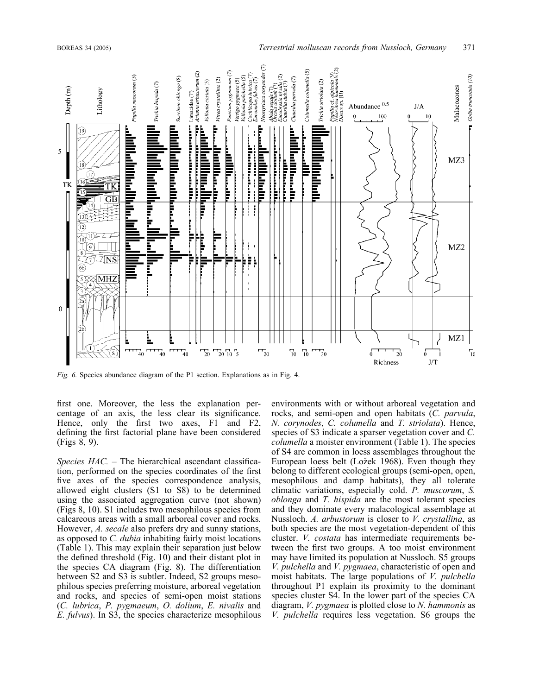

Fig. 6. Species abundance diagram of the P1 section. Explanations as in Fig. 4.

first one. Moreover, the less the explanation percentage of an axis, the less clear its significance. Hence, only the first two axes, F1 and F2, defining the first factorial plane have been considered (Figs 8, 9).

Species HAC. - The hierarchical ascendant classification, performed on the species coordinates of the first five axes of the species correspondence analysis, allowed eight clusters (S1 to S8) to be determined using the associated aggregation curve (not shown) (Figs 8, 10). S1 includes two mesophilous species from calcareous areas with a small arboreal cover and rocks. However, A. secale also prefers dry and sunny stations, as opposed to C. dubia inhabiting fairly moist locations (Table 1). This may explain their separation just below the defined threshold (Fig. 10) and their distant plot in the species CA diagram (Fig. 8). The differentiation between S2 and S3 is subtler. Indeed, S2 groups mesophilous species preferring moisture, arboreal vegetation and rocks, and species of semi-open moist stations (C. lubrica, P. pygmaeum, O. dolium, E. nivalis and E. fulvus). In S3, the species characterize mesophilous environments with or without arboreal vegetation and rocks, and semi-open and open habitats (C. parvula, N. corynodes, C. columella and T. striolata). Hence, species of S3 indicate a sparser vegetation cover and C. columella a moister environment (Table 1). The species of S4 are common in loess assemblages throughout the European loess belt (Ložek 1968). Even though they belong to different ecological groups (semi-open, open, mesophilous and damp habitats), they all tolerate climatic variations, especially cold. P. muscorum, S. oblonga and T. hispida are the most tolerant species and they dominate every malacological assemblage at Nussloch. A. arbustorum is closer to V. crystallina, as both species are the most vegetation-dependent of this cluster. V. costata has intermediate requirements between the first two groups. A too moist environment may have limited its population at Nussloch. S5 groups V. pulchella and V. pygmaea, characteristic of open and moist habitats. The large populations of V. *pulchella* throughout P1 explain its proximity to the dominant species cluster S4. In the lower part of the species CA diagram,  $V. pygmaea$  is plotted close to  $N.$  hammonis as V. pulchella requires less vegetation. S6 groups the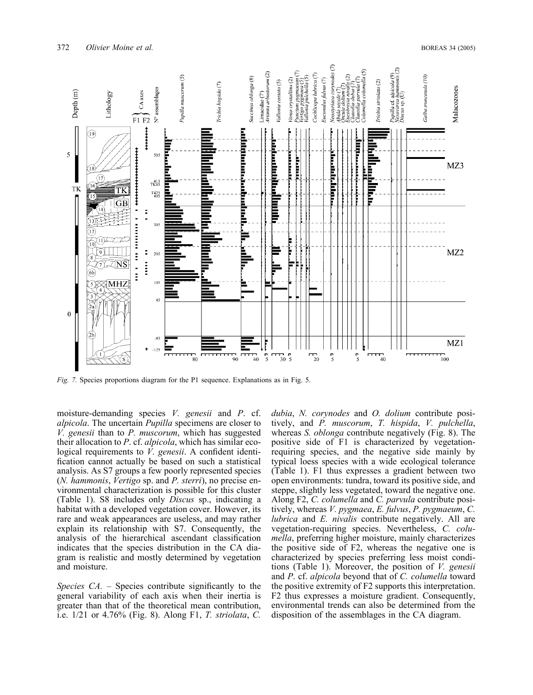

Fig. 7. Species proportions diagram for the P1 sequence. Explanations as in Fig. 5.

moisture-demanding species V. genesii and P. cf. alpicola. The uncertain Pupilla specimens are closer to V. genesii than to P. muscorum, which has suggested their allocation to P. cf. alpicola, which has similar ecological requirements to *V. genesii*. A confident identification cannot actually be based on such a statistical analysis. As S7 groups a few poorly represented species (N. hammonis, Vertigo sp. and P. sterri), no precise environmental characterization is possible for this cluster (Table 1). S8 includes only Discus sp., indicating a habitat with a developed vegetation cover. However, its rare and weak appearances are useless, and may rather explain its relationship with S7. Consequently, the analysis of the hierarchical ascendant classification indicates that the species distribution in the CA diagram is realistic and mostly determined by vegetation and moisture.

Species  $CA$ . – Species contribute significantly to the general variability of each axis when their inertia is greater than that of the theoretical mean contribution, i.e. 1/21 or 4.76% (Fig. 8). Along F1, T. striolata, C.

dubia, N. corynodes and O. dolium contribute positively, and P. muscorum, T. hispida, V. pulchella, whereas *S. oblonga* contribute negatively (Fig. 8). The positive side of F1 is characterized by vegetationrequiring species, and the negative side mainly by typical loess species with a wide ecological tolerance (Table 1). F1 thus expresses a gradient between two open environments: tundra, toward its positive side, and steppe, slightly less vegetated, toward the negative one. Along F2, C. columella and C. parvula contribute positively, whereas V. pygmaea, E. fulvus, P. pygmaeum, C. lubrica and E. nivalis contribute negatively. All are vegetation-requiring species. Nevertheless, C. columella, preferring higher moisture, mainly characterizes the positive side of F2, whereas the negative one is characterized by species preferring less moist conditions (Table 1). Moreover, the position of V. genesii and P. cf. alpicola beyond that of C. columella toward the positive extremity of F2 supports this interpretation. F2 thus expresses a moisture gradient. Consequently, environmental trends can also be determined from the disposition of the assemblages in the CA diagram.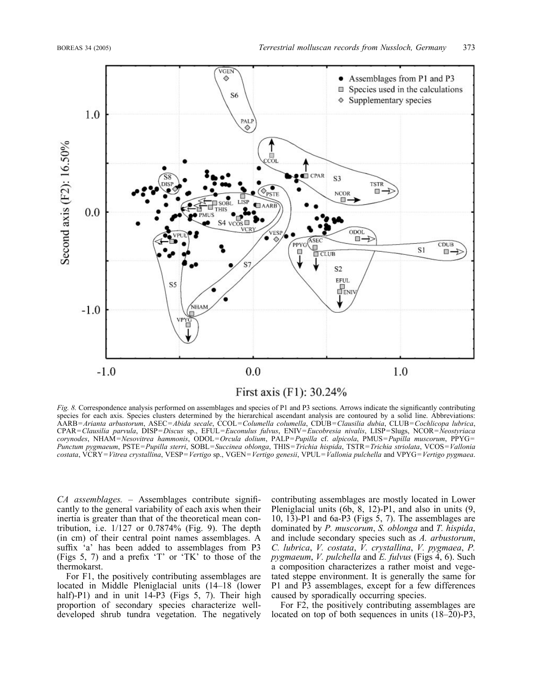

# First axis (F1): 30.24%

Fig. 8. Correspondence analysis performed on assemblages and species of P1 and P3 sections. Arrows indicate the significantly contributing species for each axis. Species clusters determined by the hierarchical ascendant analysis are contoured by a solid line. Abbreviations: AARB=Arianta arbustorum, ASEC=Abida secale, CCOL=Columella columella, CDUB=Clausilia dubia, CLUB=Cochlicopa lubrica, CPAR=Clausilia parvula, DISP=Discus sp., EFUL=Euconulus fulvus, ENIV=Eucobresia nivalis, LISP=Slugs, NCOR=Neostyriaca corynodes, NHAM=Nesovitrea hammonis, ODOL=Orcula dolium, PALP=Pupilla cf. alpicola, PMUS=Pupilla muscorum, PPYG= Punctum pygmaeum, PSTE=Pupilla sterri, SOBL=Succinea oblonga, THIS=Trichia hispida, TSTR=Trichia striolata, VCOS=Vallonia costata, VCRY=Vitrea crystallina, VESP=Vertigo sp., VGEN=Vertigo genesii, VPUL=Vallonia pulchella and VPYG=Vertigo pygmaea.

CA assemblages. – Assemblages contribute significantly to the general variability of each axis when their inertia is greater than that of the theoretical mean contribution, i.e.  $1/127$  or  $0.7874\%$  (Fig. 9). The depth (in cm) of their central point names assemblages. A suffix 'a' has been added to assemblages from P3 (Figs 5, 7) and a prefix 'T' or 'TK' to those of the thermokarst.

For F1, the positively contributing assemblages are located in Middle Pleniglacial units (14–18 (lower half)-P1) and in unit 14-P3 (Figs 5, 7). Their high proportion of secondary species characterize welldeveloped shrub tundra vegetation. The negatively

contributing assemblages are mostly located in Lower Pleniglacial units (6b, 8, 12)-P1, and also in units (9, 10, 13)-P1 and 6a-P3 (Figs 5, 7). The assemblages are dominated by P. muscorum, S. oblonga and T. hispida, and include secondary species such as A. arbustorum, C. lubrica, V. costata, V. crystallina, V. pygmaea, P. pygmaeum, V. pulchella and E. fulvus (Figs 4, 6). Such a composition characterizes a rather moist and vegetated steppe environment. It is generally the same for P1 and P3 assemblages, except for a few differences caused by sporadically occurring species.

For F2, the positively contributing assemblages are located on top of both sequences in units (18–20)-P3,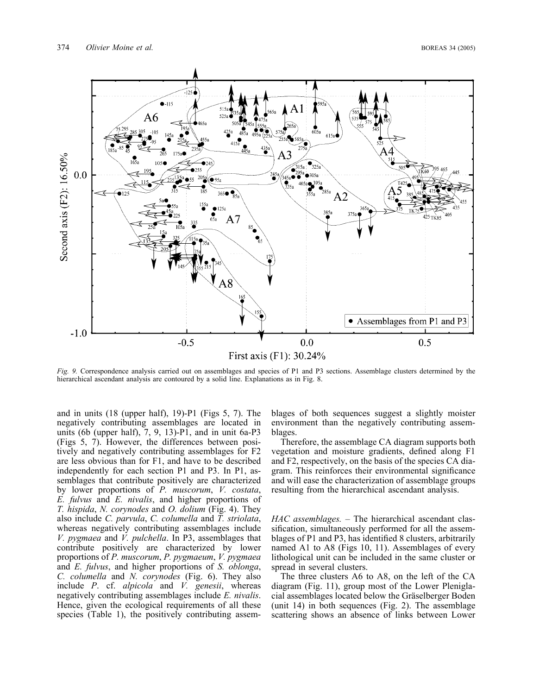

Fig. 9. Correspondence analysis carried out on assemblages and species of P1 and P3 sections. Assemblage clusters determined by the hierarchical ascendant analysis are contoured by a solid line. Explanations as in Fig. 8.

and in units (18 (upper half), 19)-P1 (Figs 5, 7). The negatively contributing assemblages are located in units (6b (upper half),  $7, 9, 13$ )-P1, and in unit 6a-P3 (Figs 5, 7). However, the differences between positively and negatively contributing assemblages for F2 are less obvious than for F1, and have to be described independently for each section P1 and P3. In P1, assemblages that contribute positively are characterized by lower proportions of P. muscorum, V. costata, E. fulvus and E. nivalis, and higher proportions of T. hispida, N. corynodes and O. dolium (Fig. 4). They also include C. parvula, C. columella and T. striolata, whereas negatively contributing assemblages include V. pygmaea and V. pulchella. In P3, assemblages that contribute positively are characterized by lower proportions of P. muscorum, P. pygmaeum, V. pygmaea and E. fulvus, and higher proportions of S. oblonga, C. columella and N. corynodes (Fig. 6). They also include  $P$ . cf. *alpicola* and  $V$ . *genesii*, whereas negatively contributing assemblages include E. nivalis. Hence, given the ecological requirements of all these species (Table 1), the positively contributing assemblages of both sequences suggest a slightly moister environment than the negatively contributing assemblages.

Therefore, the assemblage CA diagram supports both vegetation and moisture gradients, defined along F1 and F2, respectively, on the basis of the species CA diagram. This reinforces their environmental significance and will ease the characterization of assemblage groups resulting from the hierarchical ascendant analysis.

HAC assemblages. – The hierarchical ascendant classification, simultaneously performed for all the assemblages of P1 and P3, has identified 8 clusters, arbitrarily named A1 to A8 (Figs 10, 11). Assemblages of every lithological unit can be included in the same cluster or spread in several clusters.

The three clusters A6 to A8, on the left of the CA diagram (Fig. 11), group most of the Lower Pleniglacial assemblages located below the Gräselberger Boden (unit 14) in both sequences (Fig. 2). The assemblage scattering shows an absence of links between Lower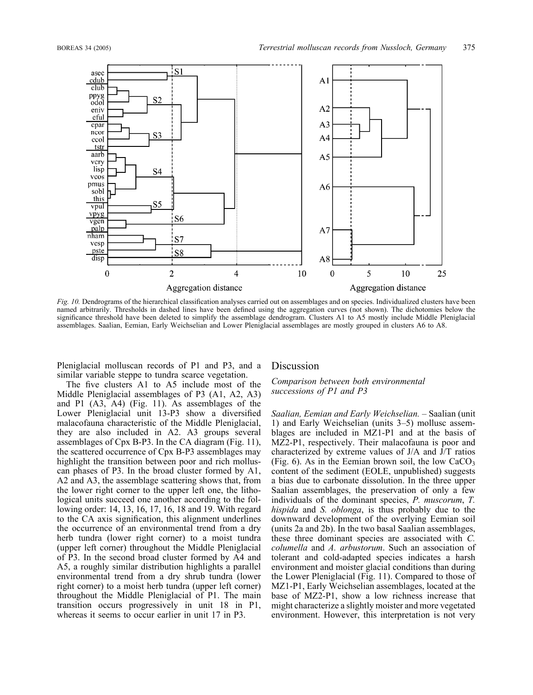

Fig. 10. Dendrograms of the hierarchical classification analyses carried out on assemblages and on species. Individualized clusters have been named arbitrarily. Thresholds in dashed lines have been defined using the aggregation curves (not shown). The dichotomies below the significance threshold have been deleted to simplify the assemblage dendrogram. Clusters A1 to A5 mostly include Middle Pleniglacial assemblages. Saalian, Eemian, Early Weichselian and Lower Pleniglacial assemblages are mostly grouped in clusters A6 to A8.

Pleniglacial molluscan records of P1 and P3, and a similar variable steppe to tundra scarce vegetation.

The five clusters A1 to A5 include most of the Middle Pleniglacial assemblages of P3 (A1, A2, A3) and P1 (A3, A4) (Fig. 11). As assemblages of the Lower Pleniglacial unit 13-P3 show a diversified malacofauna characteristic of the Middle Pleniglacial, they are also included in A2. A3 groups several assemblages of Cpx B-P3. In the CA diagram (Fig. 11), the scattered occurrence of Cpx B-P3 assemblages may highlight the transition between poor and rich molluscan phases of P3. In the broad cluster formed by A1, A2 and A3, the assemblage scattering shows that, from the lower right corner to the upper left one, the lithological units succeed one another according to the following order: 14, 13, 16, 17, 16, 18 and 19. With regard to the CA axis signification, this alignment underlines the occurrence of an environmental trend from a dry herb tundra (lower right corner) to a moist tundra (upper left corner) throughout the Middle Pleniglacial of P3. In the second broad cluster formed by A4 and A5, a roughly similar distribution highlights a parallel environmental trend from a dry shrub tundra (lower right corner) to a moist herb tundra (upper left corner) throughout the Middle Pleniglacial of P1. The main transition occurs progressively in unit 18 in P1, whereas it seems to occur earlier in unit 17 in P3.

#### Discussion

#### Comparison between both environmental successions of P1 and P3

Saalian, Eemian and Early Weichselian. – Saalian (unit 1) and Early Weichselian (units 3–5) mollusc assemblages are included in MZ1-P1 and at the basis of MZ2-P1, respectively. Their malacofauna is poor and characterized by extreme values of J/A and J/T ratios (Fig. 6). As in the Eemian brown soil, the low  $CaCO<sub>3</sub>$ content of the sediment (EOLE, unpublished) suggests a bias due to carbonate dissolution. In the three upper Saalian assemblages, the preservation of only a few individuals of the dominant species, P. muscorum, T. hispida and S. oblonga, is thus probably due to the downward development of the overlying Eemian soil (units 2a and 2b). In the two basal Saalian assemblages, these three dominant species are associated with C. columella and A. arbustorum. Such an association of tolerant and cold-adapted species indicates a harsh environment and moister glacial conditions than during the Lower Pleniglacial (Fig. 11). Compared to those of MZ1-P1, Early Weichselian assemblages, located at the base of MZ2-P1, show a low richness increase that might characterize a slightly moister and more vegetated environment. However, this interpretation is not very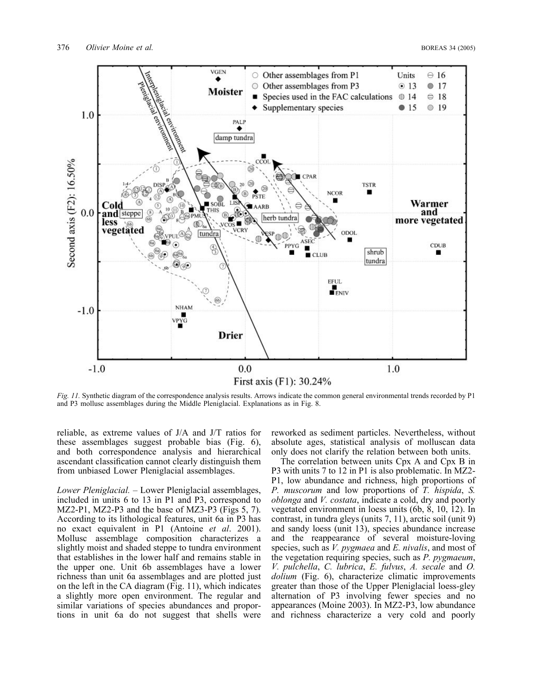

Fig. 11. Synthetic diagram of the correspondence analysis results. Arrows indicate the common general environmental trends recorded by P1 and P3 mollusc assemblages during the Middle Pleniglacial. Explanations as in Fig. 8.

reliable, as extreme values of J/A and J/T ratios for these assemblages suggest probable bias (Fig. 6), and both correspondence analysis and hierarchical ascendant classification cannot clearly distinguish them from unbiased Lower Pleniglacial assemblages.

Lower Pleniglacial. – Lower Pleniglacial assemblages, included in units 6 to 13 in P1 and P3, correspond to MZ2-P1, MZ2-P3 and the base of MZ3-P3 (Figs 5, 7). According to its lithological features, unit 6a in P3 has no exact equivalent in P1 (Antoine et al. 2001). Mollusc assemblage composition characterizes a slightly moist and shaded steppe to tundra environment that establishes in the lower half and remains stable in the upper one. Unit 6b assemblages have a lower richness than unit 6a assemblages and are plotted just on the left in the CA diagram (Fig. 11), which indicates a slightly more open environment. The regular and similar variations of species abundances and proportions in unit 6a do not suggest that shells were

reworked as sediment particles. Nevertheless, without absolute ages, statistical analysis of molluscan data only does not clarify the relation between both units.

The correlation between units Cpx A and Cpx B in P3 with units 7 to 12 in P1 is also problematic. In MZ2- P1, low abundance and richness, high proportions of P. muscorum and low proportions of T. hispida, S. oblonga and V. costata, indicate a cold, dry and poorly vegetated environment in loess units (6b, 8, 10, 12). In contrast, in tundra gleys (units 7, 11), arctic soil (unit 9) and sandy loess (unit 13), species abundance increase and the reappearance of several moisture-loving species, such as *V. pygmaea* and *E. nivalis*, and most of the vegetation requiring species, such as *P. pygmaeum*, V. pulchella, C. lubrica, E. fulvus, A. secale and O. dolium (Fig. 6), characterize climatic improvements greater than those of the Upper Pleniglacial loess-gley alternation of P3 involving fewer species and no appearances (Moine 2003). In MZ2-P3, low abundance and richness characterize a very cold and poorly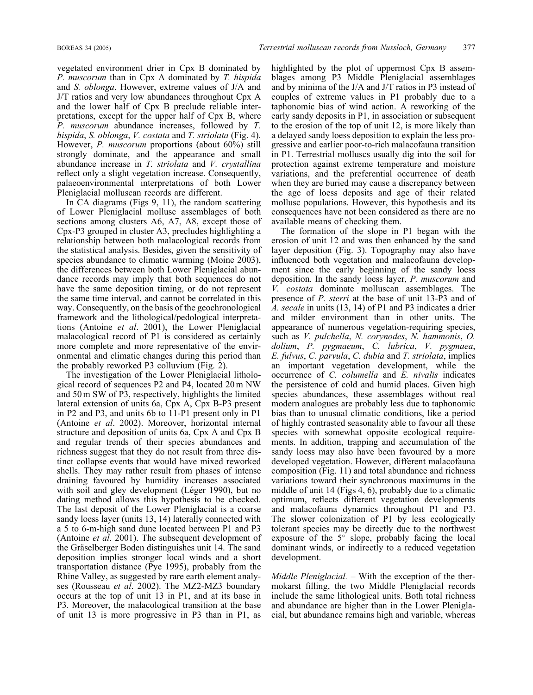vegetated environment drier in Cpx B dominated by P. muscorum than in Cpx A dominated by T. hispida and S. oblonga. However, extreme values of J/A and J/T ratios and very low abundances throughout Cpx A and the lower half of Cpx B preclude reliable interpretations, except for the upper half of Cpx B, where P. muscorum abundance increases, followed by T. hispida, S. oblonga, V. costata and T. striolata (Fig. 4). However, P. muscorum proportions (about 60%) still strongly dominate, and the appearance and small abundance increase in T. striolata and V. crystallina reflect only a slight vegetation increase. Consequently, palaeoenvironmental interpretations of both Lower Pleniglacial molluscan records are different.

In CA diagrams (Figs 9, 11), the random scattering of Lower Pleniglacial mollusc assemblages of both sections among clusters A6, A7, A8, except those of Cpx-P3 grouped in cluster A3, precludes highlighting a relationship between both malacological records from the statistical analysis. Besides, given the sensitivity of species abundance to climatic warming (Moine 2003), the differences between both Lower Pleniglacial abundance records may imply that both sequences do not have the same deposition timing, or do not represent the same time interval, and cannot be correlated in this way. Consequently, on the basis of the geochronological framework and the lithological/pedological interpretations (Antoine et al. 2001), the Lower Pleniglacial malacological record of P1 is considered as certainly more complete and more representative of the environmental and climatic changes during this period than the probably reworked P3 colluvium (Fig. 2).

The investigation of the Lower Pleniglacial lithological record of sequences P2 and P4, located 20 m NW and 50 m SW of P3, respectively, highlights the limited lateral extension of units 6a, Cpx A, Cpx B-P3 present in P2 and P3, and units 6b to 11-P1 present only in P1 (Antoine et al. 2002). Moreover, horizontal internal structure and deposition of units 6a, Cpx A and Cpx B and regular trends of their species abundances and richness suggest that they do not result from three distinct collapse events that would have mixed reworked shells. They may rather result from phases of intense draining favoured by humidity increases associated with soil and gley development (Léger 1990), but no dating method allows this hypothesis to be checked. The last deposit of the Lower Pleniglacial is a coarse sandy loess layer (units 13, 14) laterally connected with a 5 to 6-m-high sand dune located between P1 and P3 (Antoine et al. 2001). The subsequent development of the Gräselberger Boden distinguishes unit 14. The sand deposition implies stronger local winds and a short transportation distance (Pye 1995), probably from the Rhine Valley, as suggested by rare earth element analyses (Rousseau et al. 2002). The MZ2-MZ3 boundary occurs at the top of unit 13 in P1, and at its base in P3. Moreover, the malacological transition at the base of unit 13 is more progressive in P3 than in P1, as

highlighted by the plot of uppermost Cpx B assemblages among P3 Middle Pleniglacial assemblages and by minima of the J/A and J/T ratios in P3 instead of couples of extreme values in P1 probably due to a taphonomic bias of wind action. A reworking of the early sandy deposits in P1, in association or subsequent to the erosion of the top of unit 12, is more likely than a delayed sandy loess deposition to explain the less progressive and earlier poor-to-rich malacofauna transition in P1. Terrestrial molluscs usually dig into the soil for protection against extreme temperature and moisture variations, and the preferential occurrence of death when they are buried may cause a discrepancy between the age of loess deposits and age of their related mollusc populations. However, this hypothesis and its consequences have not been considered as there are no available means of checking them.

The formation of the slope in P1 began with the erosion of unit 12 and was then enhanced by the sand layer deposition (Fig. 3). Topography may also have influenced both vegetation and malacofauna development since the early beginning of the sandy loess deposition. In the sandy loess layer, P. muscorum and V. costata dominate molluscan assemblages. The presence of P. sterri at the base of unit 13-P3 and of A. secale in units (13, 14) of P1 and P3 indicates a drier and milder environment than in other units. The appearance of numerous vegetation-requiring species, such as V. pulchella, N. corynodes, N. hammonis, O. dolium, P. pygmaeum, C. lubrica, V. pygmaea,  $E.$  fulvus,  $C.$  parvula,  $C.$  dubia and  $T.$  striolata, implies an important vegetation development, while the occurrence of C. columella and E. nivalis indicates the persistence of cold and humid places. Given high species abundances, these assemblages without real modern analogues are probably less due to taphonomic bias than to unusual climatic conditions, like a period of highly contrasted seasonality able to favour all these species with somewhat opposite ecological requirements. In addition, trapping and accumulation of the sandy loess may also have been favoured by a more developed vegetation. However, different malacofauna composition (Fig. 11) and total abundance and richness variations toward their synchronous maximums in the middle of unit 14 (Figs 4, 6), probably due to a climatic optimum, reflects different vegetation developments and malacofauna dynamics throughout P1 and P3. The slower colonization of P1 by less ecologically tolerant species may be directly due to the northwest exposure of the  $5^\circ$  slope, probably facing the local dominant winds, or indirectly to a reduced vegetation development.

Middle Pleniglacial. – With the exception of the thermokarst filling, the two Middle Pleniglacial records include the same lithological units. Both total richness and abundance are higher than in the Lower Pleniglacial, but abundance remains high and variable, whereas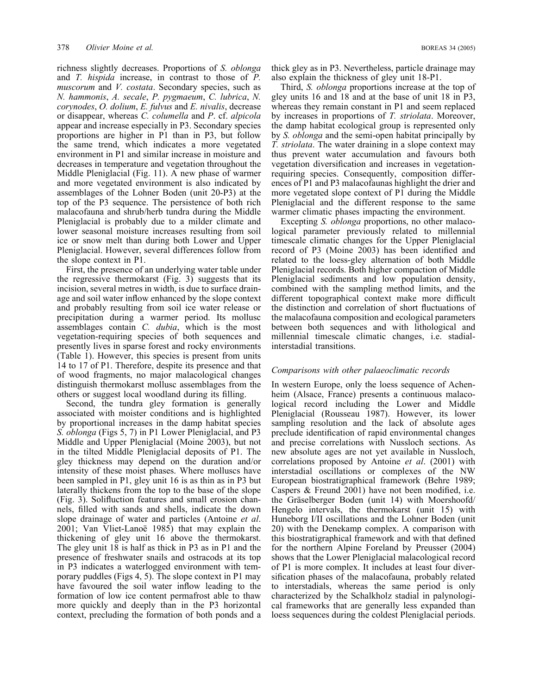richness slightly decreases. Proportions of S. oblonga and T. hispida increase, in contrast to those of P. muscorum and *V. costata*. Secondary species, such as N. hammonis, A. secale, P. pygmaeum, C. lubrica, N. corynodes, O. dolium, E. fulvus and E. nivalis, decrease or disappear, whereas C. columella and P. cf. alpicola appear and increase especially in P3. Secondary species proportions are higher in P1 than in P3, but follow the same trend, which indicates a more vegetated environment in P1 and similar increase in moisture and decreases in temperature and vegetation throughout the Middle Pleniglacial (Fig. 11). A new phase of warmer and more vegetated environment is also indicated by assemblages of the Lohner Boden (unit 20-P3) at the top of the P3 sequence. The persistence of both rich malacofauna and shrub/herb tundra during the Middle Pleniglacial is probably due to a milder climate and lower seasonal moisture increases resulting from soil ice or snow melt than during both Lower and Upper Pleniglacial. However, several differences follow from the slope context in P1.

First, the presence of an underlying water table under the regressive thermokarst (Fig. 3) suggests that its incision, several metres in width, is due to surface drainage and soil water inflow enhanced by the slope context and probably resulting from soil ice water release or precipitation during a warmer period. Its mollusc assemblages contain C. dubia, which is the most vegetation-requiring species of both sequences and presently lives in sparse forest and rocky environments (Table 1). However, this species is present from units 14 to 17 of P1. Therefore, despite its presence and that of wood fragments, no major malacological changes distinguish thermokarst mollusc assemblages from the others or suggest local woodland during its filling.

Second, the tundra gley formation is generally associated with moister conditions and is highlighted by proportional increases in the damp habitat species S. oblonga (Figs 5, 7) in P1 Lower Pleniglacial, and P3 Middle and Upper Pleniglacial (Moine 2003), but not in the tilted Middle Pleniglacial deposits of P1. The gley thickness may depend on the duration and/or intensity of these moist phases. Where molluscs have been sampled in P1, gley unit 16 is as thin as in P3 but laterally thickens from the top to the base of the slope (Fig. 3). Solifluction features and small erosion channels, filled with sands and shells, indicate the down slope drainage of water and particles (Antoine et al. 2001; Van Vliet-Lanoë 1985) that may explain the thickening of gley unit 16 above the thermokarst. The gley unit 18 is half as thick in P3 as in P1 and the presence of freshwater snails and ostracods at its top in P3 indicates a waterlogged environment with temporary puddles (Figs 4, 5). The slope context in P1 may have favoured the soil water inflow leading to the formation of low ice content permafrost able to thaw more quickly and deeply than in the P3 horizontal context, precluding the formation of both ponds and a

thick gley as in P3. Nevertheless, particle drainage may also explain the thickness of gley unit 18-P1.

Third, S. oblonga proportions increase at the top of gley units 16 and 18 and at the base of unit 18 in P3, whereas they remain constant in P1 and seem replaced by increases in proportions of T. striolata. Moreover, the damp habitat ecological group is represented only by *S. oblonga* and the semi-open habitat principally by T. striolata. The water draining in a slope context may thus prevent water accumulation and favours both vegetation diversification and increases in vegetationrequiring species. Consequently, composition differences of P1 and P3 malacofaunas highlight the drier and more vegetated slope context of P1 during the Middle Pleniglacial and the different response to the same warmer climatic phases impacting the environment.

Excepting S. oblonga proportions, no other malacological parameter previously related to millennial timescale climatic changes for the Upper Pleniglacial record of P3 (Moine 2003) has been identified and related to the loess-gley alternation of both Middle Pleniglacial records. Both higher compaction of Middle Pleniglacial sediments and low population density, combined with the sampling method limits, and the different topographical context make more difficult the distinction and correlation of short fluctuations of the malacofauna composition and ecological parameters between both sequences and with lithological and millennial timescale climatic changes, i.e. stadialinterstadial transitions.

#### Comparisons with other palaeoclimatic records

In western Europe, only the loess sequence of Achenheim (Alsace, France) presents a continuous malacological record including the Lower and Middle Pleniglacial (Rousseau 1987). However, its lower sampling resolution and the lack of absolute ages preclude identification of rapid environmental changes and precise correlations with Nussloch sections. As new absolute ages are not yet available in Nussloch, correlations proposed by Antoine et al. (2001) with interstadial oscillations or complexes of the NW European biostratigraphical framework (Behre 1989; Caspers & Freund 2001) have not been modified, i.e. the Gräselberger Boden (unit 14) with Moershoofd/ Hengelo intervals, the thermokarst (unit 15) with Huneborg I/II oscillations and the Lohner Boden (unit 20) with the Denekamp complex. A comparison with this biostratigraphical framework and with that defined for the northern Alpine Foreland by Preusser (2004) shows that the Lower Pleniglacial malacological record of P1 is more complex. It includes at least four diversification phases of the malacofauna, probably related to interstadials, whereas the same period is only characterized by the Schalkholz stadial in palynological frameworks that are generally less expanded than loess sequences during the coldest Pleniglacial periods.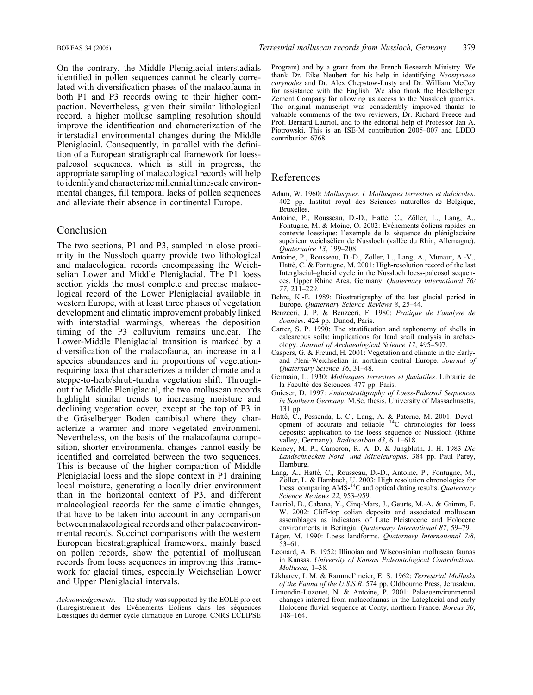On the contrary, the Middle Pleniglacial interstadials identified in pollen sequences cannot be clearly correlated with diversification phases of the malacofauna in both P1 and P3 records owing to their higher compaction. Nevertheless, given their similar lithological record, a higher mollusc sampling resolution should improve the identification and characterization of the interstadial environmental changes during the Middle Pleniglacial. Consequently, in parallel with the definition of a European stratigraphical framework for loesspaleosol sequences, which is still in progress, the appropriate sampling of malacological records will help to identify and characterize millennial timescale environmental changes, fill temporal lacks of pollen sequences and alleviate their absence in continental Europe.

#### Conclusion

The two sections, P1 and P3, sampled in close proximity in the Nussloch quarry provide two lithological and malacological records encompassing the Weichselian Lower and Middle Pleniglacial. The P1 loess section yields the most complete and precise malacological record of the Lower Pleniglacial available in western Europe, with at least three phases of vegetation development and climatic improvement probably linked with interstadial warmings, whereas the deposition timing of the P3 colluvium remains unclear. The Lower-Middle Pleniglacial transition is marked by a diversification of the malacofauna, an increase in all species abundances and in proportions of vegetationrequiring taxa that characterizes a milder climate and a steppe-to-herb/shrub-tundra vegetation shift. Throughout the Middle Pleniglacial, the two molluscan records highlight similar trends to increasing moisture and declining vegetation cover, except at the top of P3 in the Gräselberger Boden cambisol where they characterize a warmer and more vegetated environment. Nevertheless, on the basis of the malacofauna composition, shorter environmental changes cannot easily be identified and correlated between the two sequences. This is because of the higher compaction of Middle Pleniglacial loess and the slope context in P1 draining local moisture, generating a locally drier environment than in the horizontal context of P3, and different malacological records for the same climatic changes, that have to be taken into account in any comparison between malacological records and other palaeoenvironmental records. Succinct comparisons with the western European biostratigraphical framework, mainly based on pollen records, show the potential of molluscan records from loess sequences in improving this framework for glacial times, especially Weichselian Lower and Upper Pleniglacial intervals.

Program) and by a grant from the French Research Ministry. We thank Dr. Eike Neubert for his help in identifying Neostyriaca corynodes and Dr. Alex Chepstow-Lusty and Dr. William McCoy for assistance with the English. We also thank the Heidelberger Zement Company for allowing us access to the Nussloch quarries. The original manuscript was considerably improved thanks to valuable comments of the two reviewers, Dr. Richard Preece and Prof. Bernard Lauriol, and to the editorial help of Professor Jan A. Piotrowski. This is an ISE-M contribution 2005–007 and LDEO contribution 6768.

# References

- Adam, W. 1960: Mollusques. I. Mollusques terrestres et dulcicoles. 402 pp. Institut royal des Sciences naturelles de Belgique, Bruxelles.
- Antoine, P., Rousseau, D.-D., Hatté, C., Zöller, L., Lang, A., Fontugne, M. & Moine, O. 2002: Evénements éoliens rapides en contexte loessique: l'exemple de la séquence du pléniglaciaire supérieur weichsélien de Nussloch (vallée du Rhin, Allemagne). Quaternaire 13, 199–208.
- Antoine, P., Rousseau, D.-D., Zöller, L., Lang, A., Munaut, A.-V., Hatté, C. & Fontugne, M. 2001: High-resolution record of the last Interglacial–glacial cycle in the Nussloch loess-paleosol sequences, Upper Rhine Area, Germany. Quaternary International 76/ 77, 211–229.
- Behre, K.-E. 1989: Biostratigraphy of the last glacial period in Europe. Quaternary Science Reviews 8, 25–44.
- Benzecri, J. P. & Benzecri, F. 1980: Pratique de l'analyse de données. 424 pp. Dunod, Paris.
- Carter, S. P. 1990: The stratification and taphonomy of shells in calcareous soils: implications for land snail analysis in archaeology. Journal of Archaeological Science 17, 495–507.
- Caspers, G. & Freund, H. 2001: Vegetation and climate in the Earlyand Pleni-Weichselian in northern central Europe. Journal of Quaternary Science 16, 31–48.
- Germain, L. 1930: Mollusques terrestres et fluviatiles. Librairie de la Faculté des Sciences. 477 pp. Paris.
- Gnieser, D. 1997: Aminostratigraphy of Loess-Paleosol Sequences in Southern Germany, M.Sc. thesis, University of Massachusetts, 131 pp.
- Hatté, C., Pessenda, L.-C., Lang, A. & Paterne, M. 2001: Devel-<br>opment of accurate and reliable <sup>14</sup>C chronologies for loess deposits: application to the loess sequence of Nussloch (Rhine valley, Germany). Radiocarbon 43, 611-618.
- Kerney, M. P., Cameron, R. A. D. & Jungbluth, J. H. 1983 Die Landschnecken Nord- und Mitteleuropas. 384 pp. Paul Parey, Hamburg.
- Lang, A., Hatté, C., Rousseau, D.-D., Antoine, P., Fontugne, M., Zöller, L. & Hambach, U. 2003: High resolution chronologies for<br>loess: comparing AMS-<sup>14</sup>C and optical dating results. *Quaternary* Science Reviews 22, 953–959.
- Lauriol, B., Cabana, Y., Cinq-Mars, J., Geurts, M.-A. & Grimm, F. W. 2002: Cliff-top eolian deposits and associated molluscan assemblages as indicators of Late Pleistocene and Holocene environments in Beringia. Quaternary International 87, 59–79.
- Léger, M. 1990: Loess landforms. Quaternary International 7/8, 53–61.
- Leonard, A. B. 1952: Illinoian and Wisconsinian molluscan faunas in Kansas. University of Kansas Paleontological Contributions. Mollusca, 1–38.
- Likharev, I. M. & Rammel'meier, E. S. 1962: Terrestrial Mollusks of the Fauna of the U.S.S.R. 574 pp. Oldbourne Press, Jerusalem.
- Limondin-Lozouet, N. & Antoine, P. 2001: Palaeoenvironmental changes inferred from malacofaunas in the Lateglacial and early Holocene fluvial sequence at Conty, northern France. Boreas 30, 148–164.

Acknowledgements. – The study was supported by the EOLE project (Enregistrement des Evénements Eoliens dans les séquences Lœssiques du dernier cycle climatique en Europe, CNRS ECLIPSE